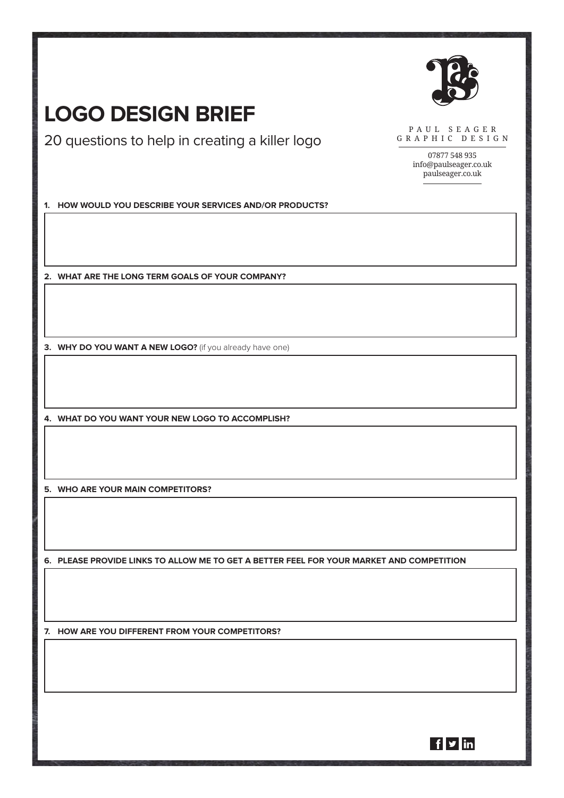

## **Logo Design Brief**

20 questions to help in creating a killer logo

PAUL SEAGER G R A P H I C D E S I G N

> 07877 548 935 info@paulseager.co.uk paulseager.co.uk

**1. How would you describe your services and/or products?**

**2. What are the long term goals of your company?**

**3. WHY DO YOU WANT A NEW LOGO?** (if you already have one)

**4. What do you want your new logo to accomplish?**

**5. Who are your main competitors?**

**6. Please provide links to allow me to get a better feel for your market and competition**

**7. How are you different from your competitors?**

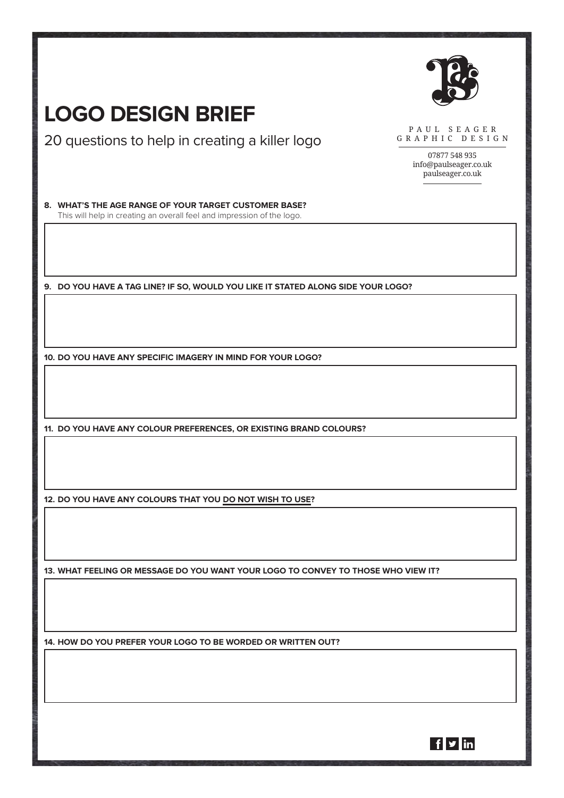